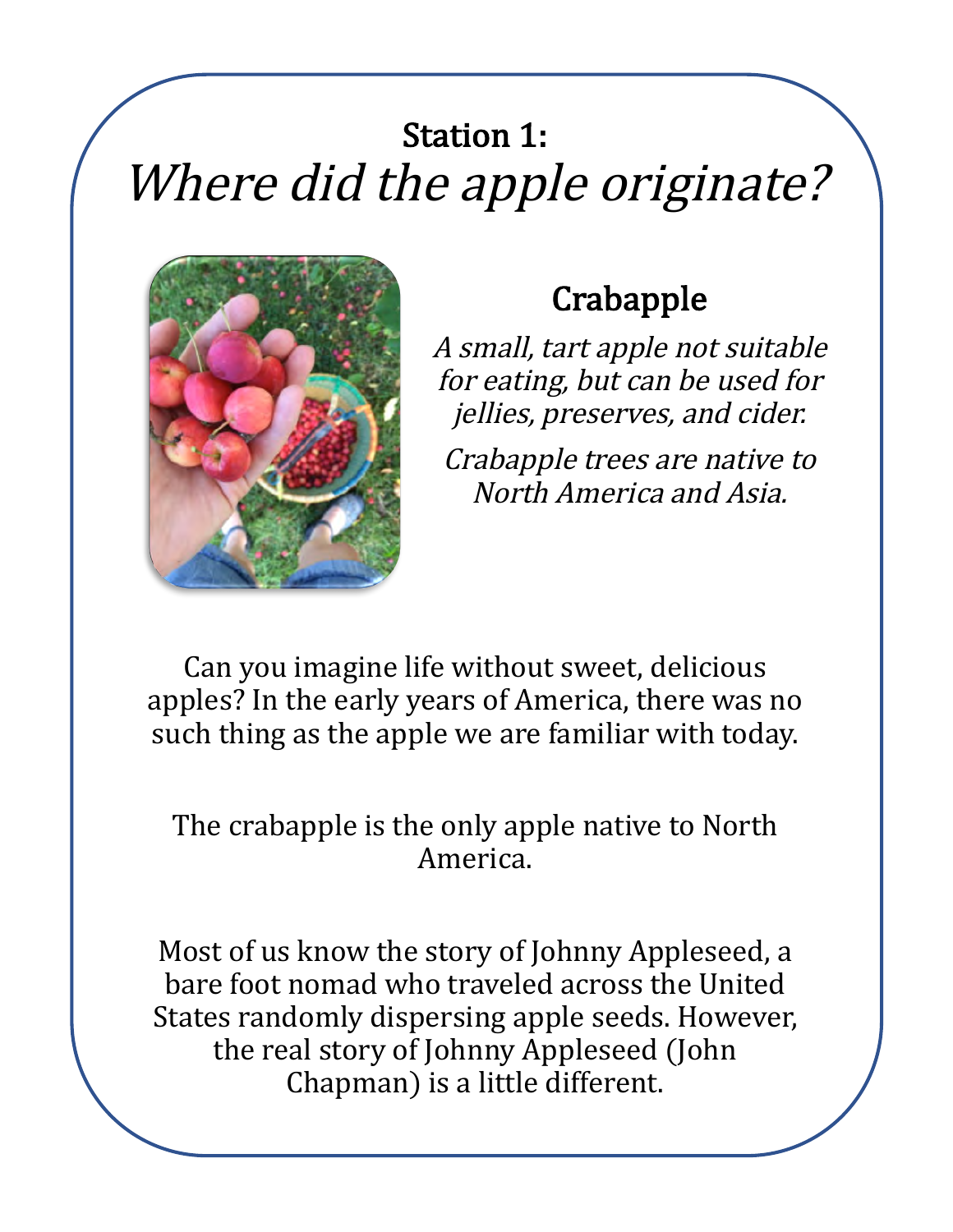## **Station 1:** Where did the apple originate?



## **Crabapple**

A small, tart apple not suitable for eating, but can be used for jellies, preserves, and cider.

Crabapple trees are native to North America and Asia.

Can you imagine life without sweet, delicious apples? In the early years of America, there was no such thing as the apple we are familiar with today.

#### The crabapple is the only apple native to North America.

Most of us know the story of Johnny Appleseed, a bare foot nomad who traveled across the United States randomly dispersing apple seeds. However, the real story of Johnny Appleseed (John Chapman) is a little different.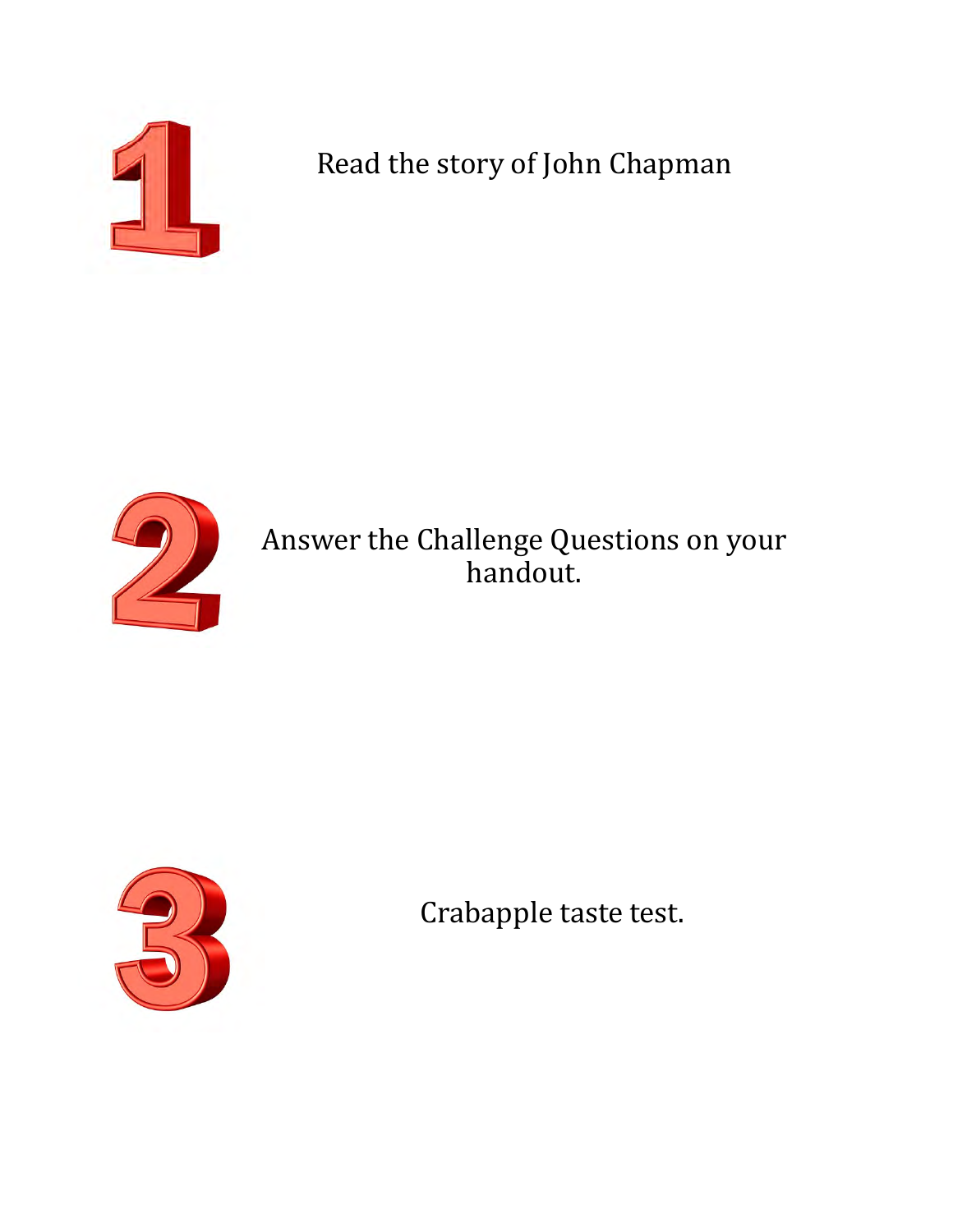

Read the story of John Chapman



Answer the Challenge Questions on your handout.



Crabapple taste test.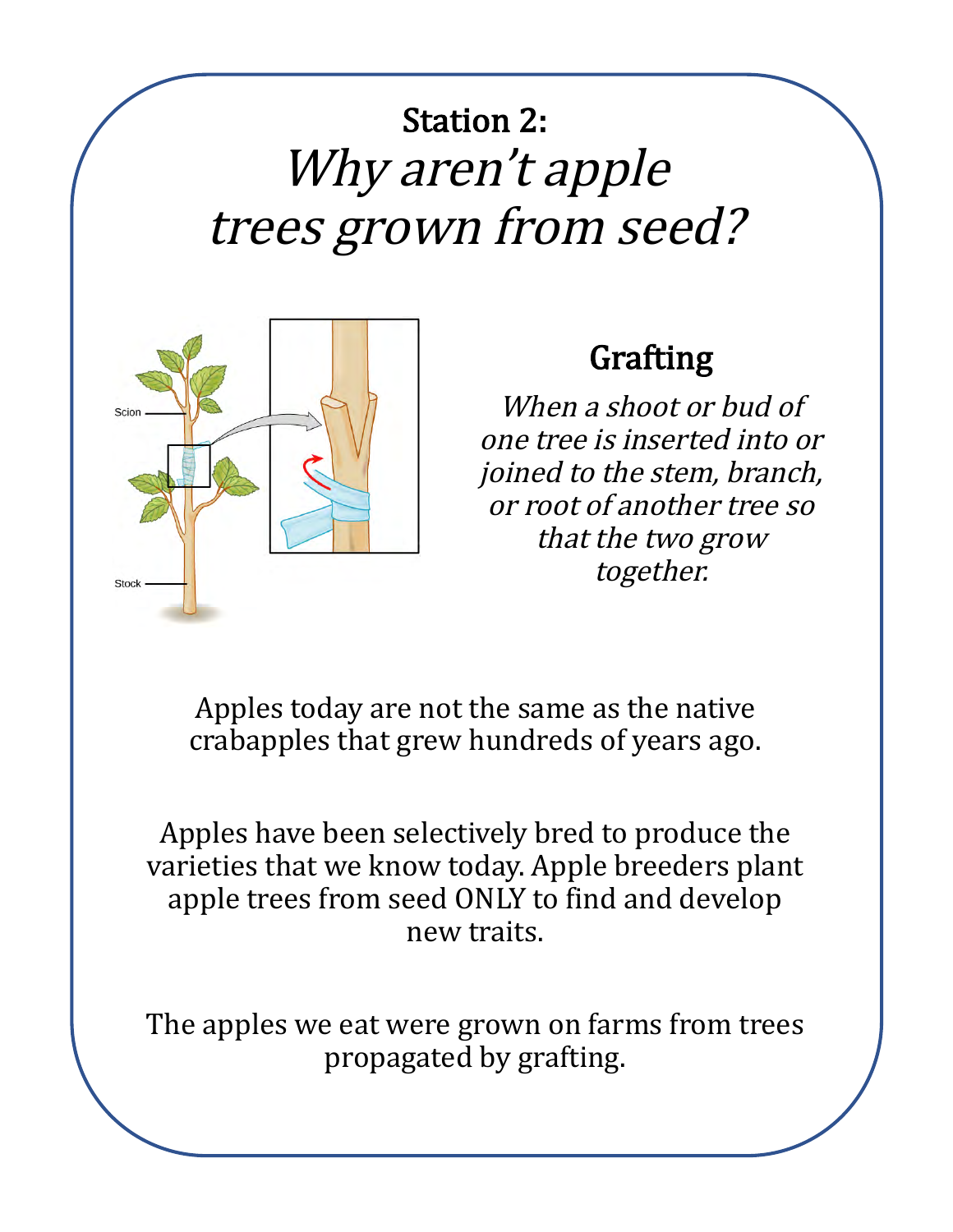# **Station 2:** Why aren't apple trees grown from seed?



### Grafting

When a shoot or bud of one tree is inserted into or joined to the stem, branch, or root of another tree so that the two grow together.

Apples today are not the same as the native crabapples that grew hundreds of years ago.

Apples have been selectively bred to produce the varieties that we know today. Apple breeders plant apple trees from seed ONLY to find and develop new traits. 

The apples we eat were grown on farms from trees propagated by grafting.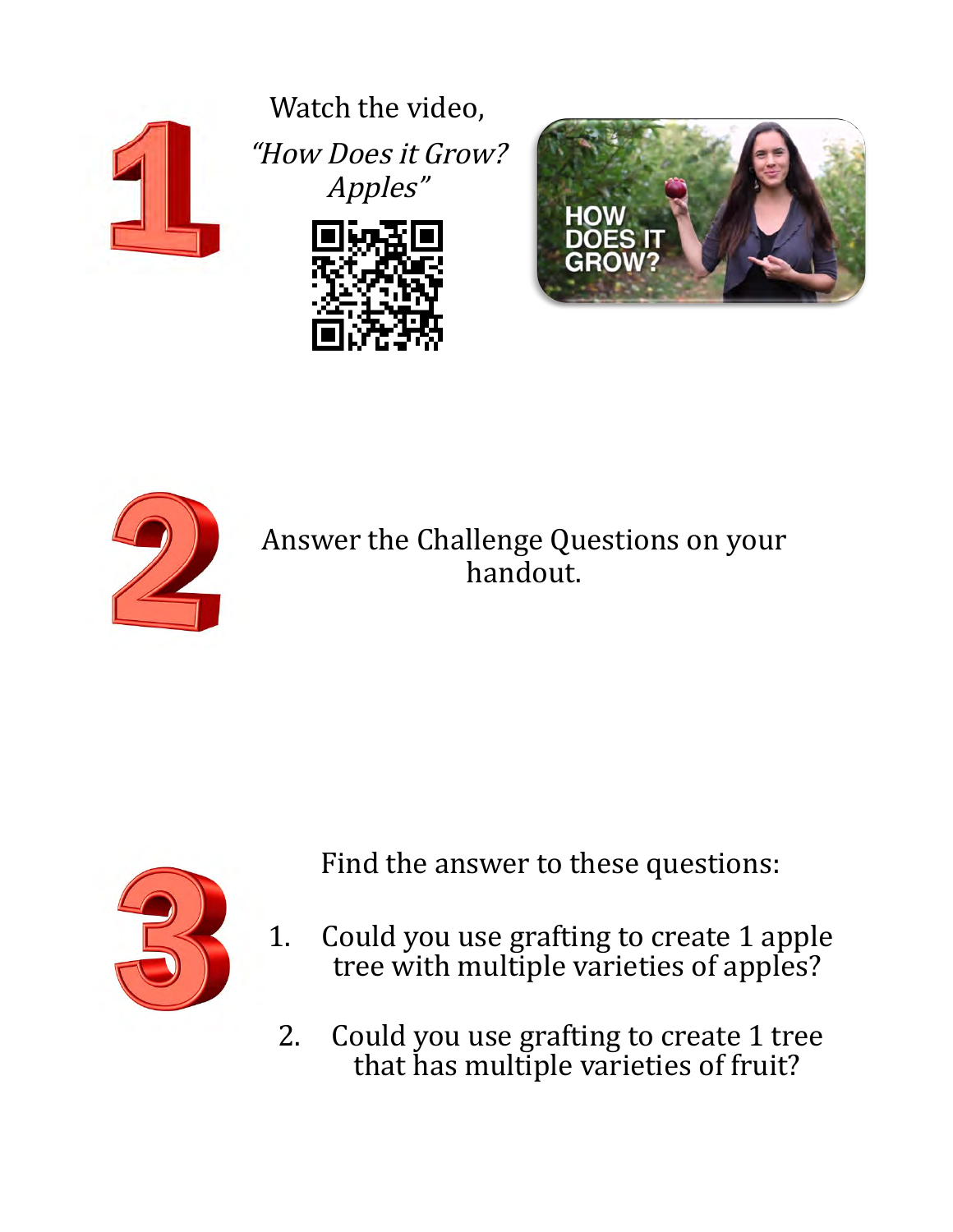

Watch the video, "How Does it Grow? Apples"







Answer the Challenge Questions on your handout.



Find the answer to these questions:

- 1. Could you use grafting to create 1 apple tree with multiple varieties of apples?
	- 2. Could you use grafting to create 1 tree that has multiple varieties of fruit?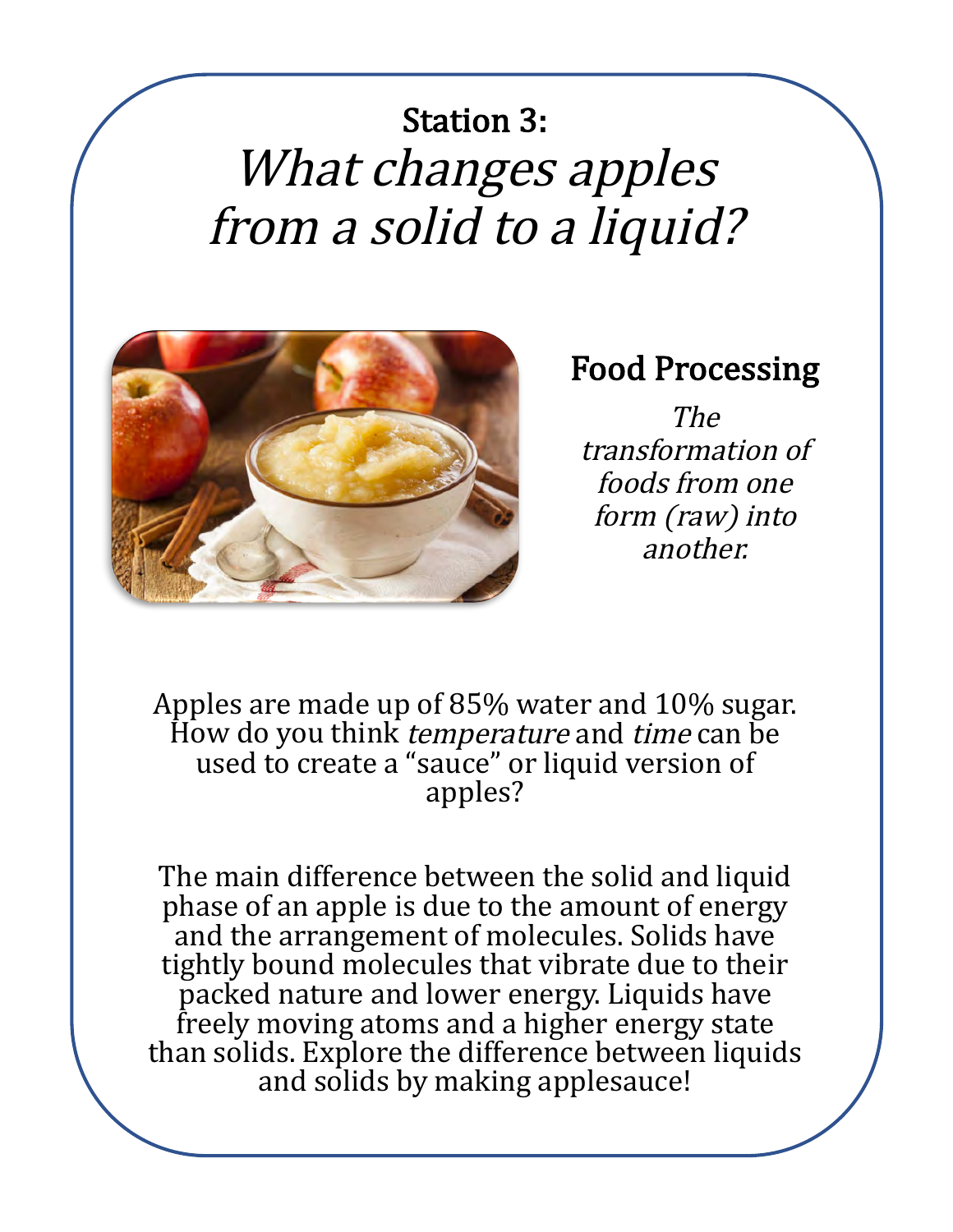# **Station 3:** What changes apples from a solid to a liquid?



#### Food Processing

The transformation of foods from one form (raw) into another.

Apples are made up of 85% water and 10% sugar. How do you think *temperature* and *time* can be used to create a "sauce" or liquid version of apples? 

The main difference between the solid and liquid phase of an apple is due to the amount of energy and the arrangement of molecules. Solids have tightly bound molecules that vibrate due to their packed nature and lower energy. Liquids have freely moving atoms and a higher energy state than solids. Explore the difference between liquids and solids by making applesauce!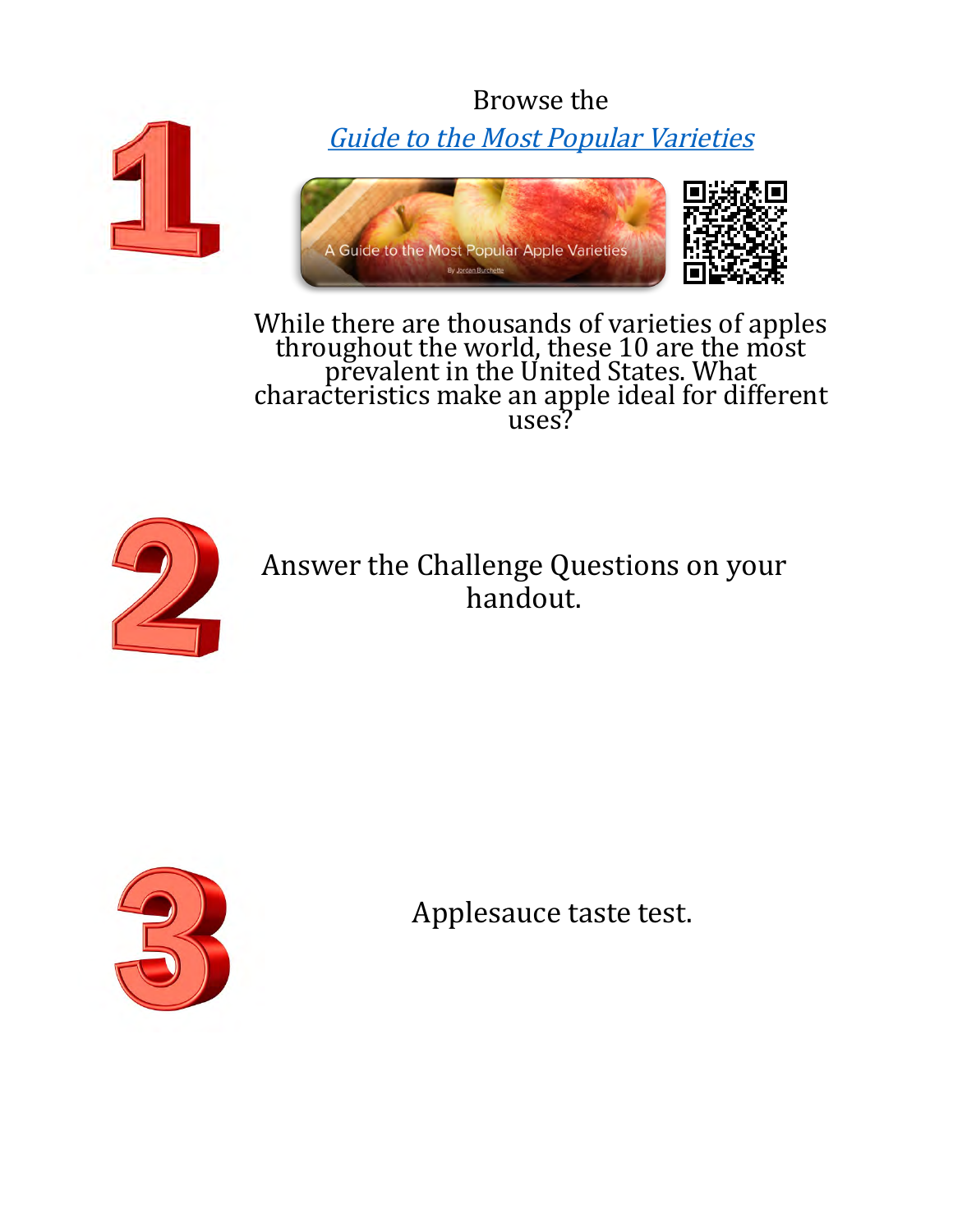Browse the Guide to the Most Popular Varieties



While there are thousands of varieties of apples throughout the world, these 10 are the most<br>prevalent in the United States. What<br>characteristics make an apple ideal for different<br>uses?



Answer the Challenge Questions on your handout.



Applesauce taste test.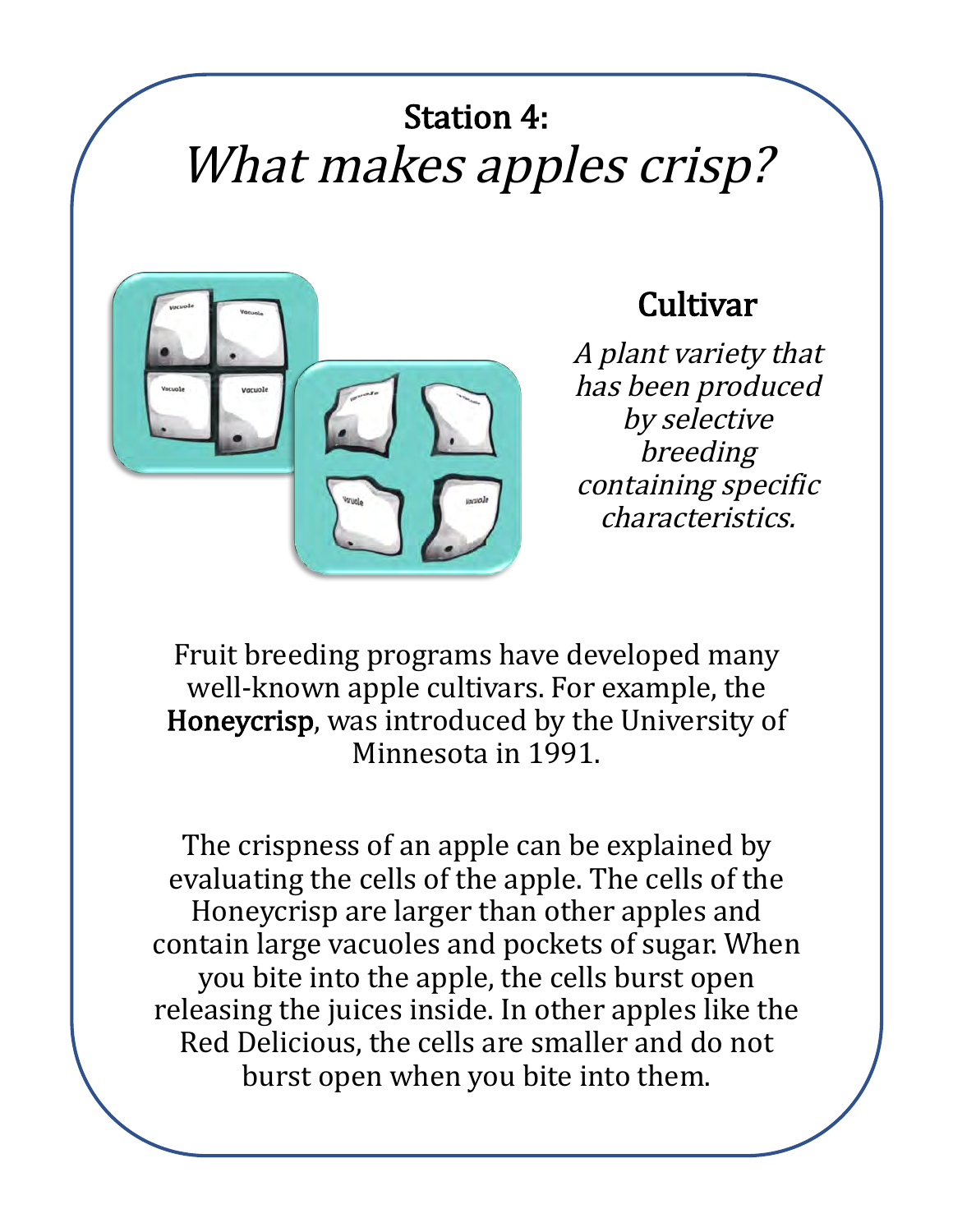## **Station 4:** What makes apples crisp?



### **Cultivar**

A plant variety that has been produced by selective breeding containing specific characteristics.

Fruit breeding programs have developed many well-known apple cultivars. For example, the Honeycrisp, was introduced by the University of Minnesota in 1991.

The crispness of an apple can be explained by evaluating the cells of the apple. The cells of the Honeycrisp are larger than other apples and contain large vacuoles and pockets of sugar. When you bite into the apple, the cells burst open releasing the juices inside. In other apples like the Red Delicious, the cells are smaller and do not burst open when you bite into them.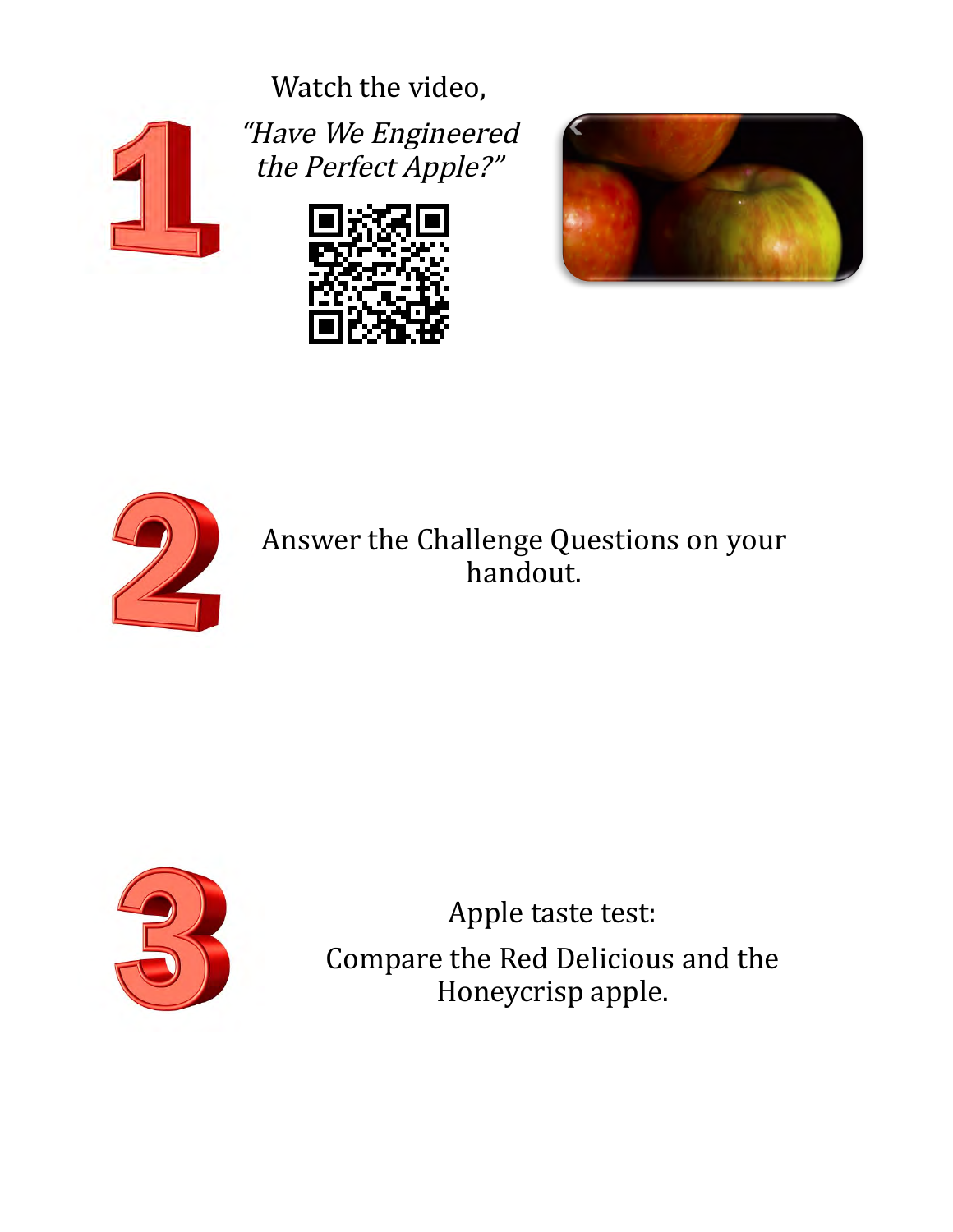Watch the video,



"Have We Engineered the Perfect Apple?"







Answer the Challenge Questions on your handout.



Apple taste test: Compare the Red Delicious and the Honeycrisp apple.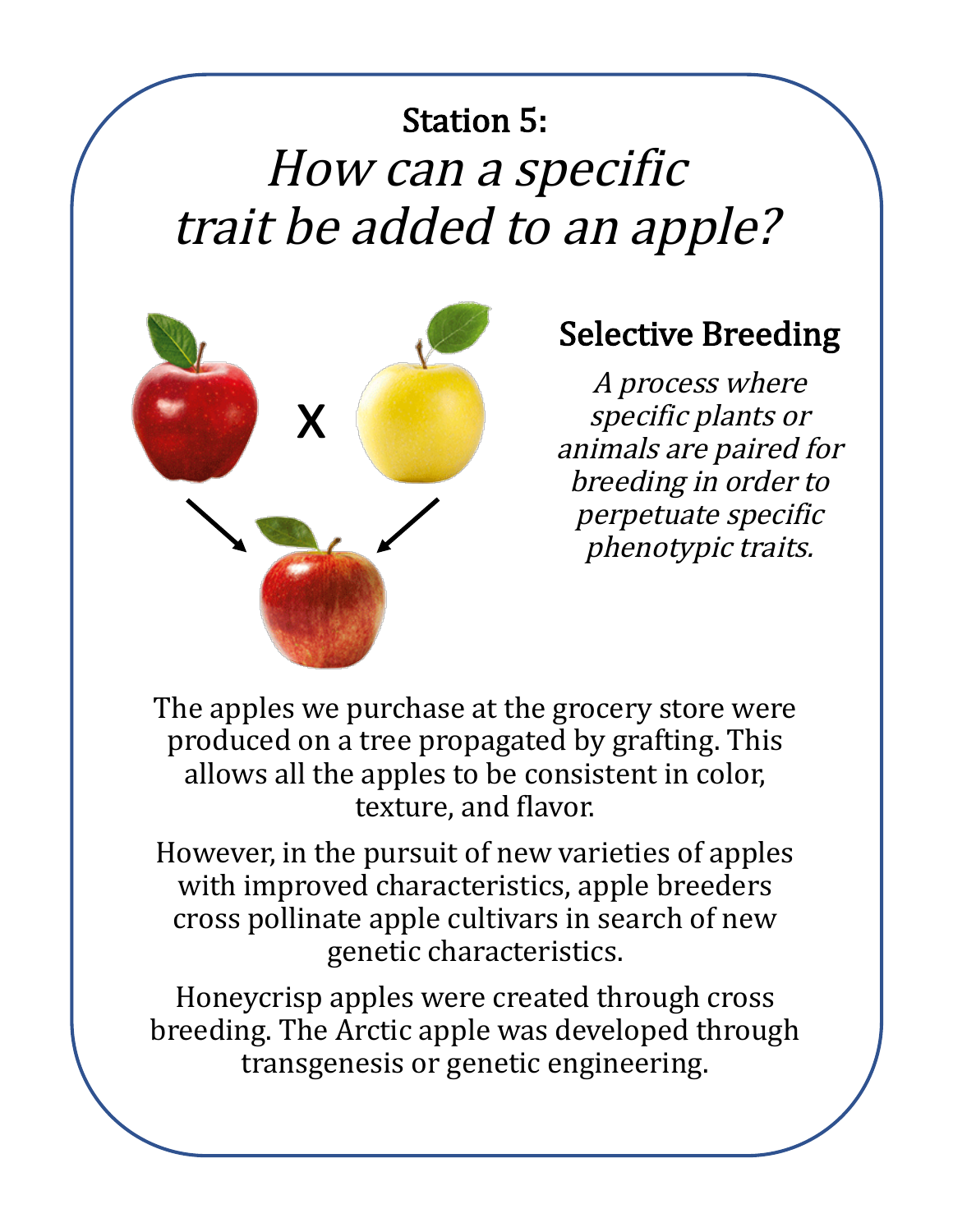# **Station 5:** How can a specific trait be added to an apple?



## **Selective Breeding**

A process where specific plants or animals are paired for breeding in order to perpetuate specific phenotypic traits.

The apples we purchase at the grocery store were produced on a tree propagated by grafting. This allows all the apples to be consistent in color, texture, and flavor.

However, in the pursuit of new varieties of apples with improved characteristics, apple breeders cross pollinate apple cultivars in search of new genetic characteristics.

Honeycrisp apples were created through cross breeding. The Arctic apple was developed through transgenesis or genetic engineering.